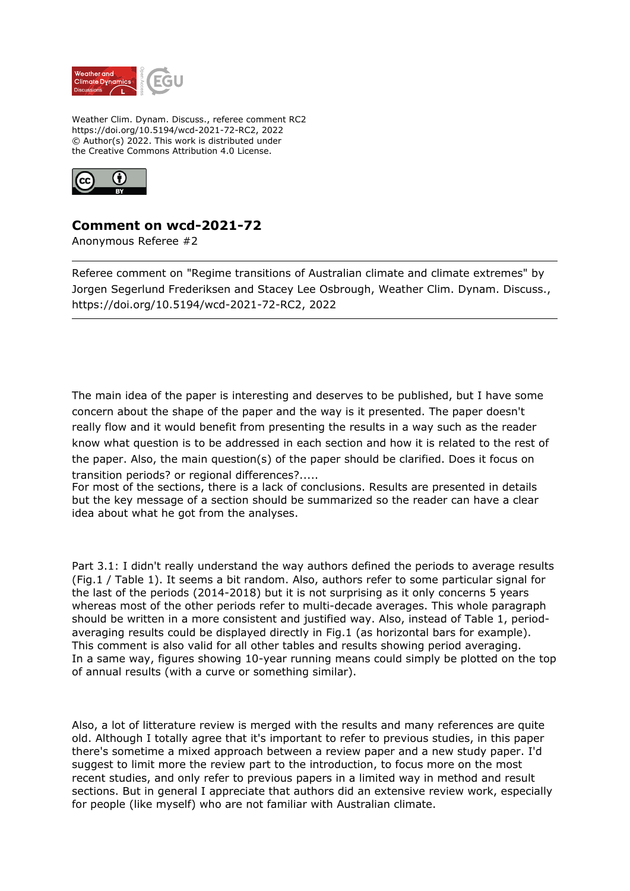

Weather Clim. Dynam. Discuss., referee comment RC2 https://doi.org/10.5194/wcd-2021-72-RC2, 2022 © Author(s) 2022. This work is distributed under the Creative Commons Attribution 4.0 License.



## **Comment on wcd-2021-72**

Anonymous Referee #2

Referee comment on "Regime transitions of Australian climate and climate extremes" by Jorgen Segerlund Frederiksen and Stacey Lee Osbrough, Weather Clim. Dynam. Discuss., https://doi.org/10.5194/wcd-2021-72-RC2, 2022

The main idea of the paper is interesting and deserves to be published, but I have some concern about the shape of the paper and the way is it presented. The paper doesn't really flow and it would benefit from presenting the results in a way such as the reader know what question is to be addressed in each section and how it is related to the rest of the paper. Also, the main question(s) of the paper should be clarified. Does it focus on transition periods? or regional differences?.....

For most of the sections, there is a lack of conclusions. Results are presented in details but the key message of a section should be summarized so the reader can have a clear idea about what he got from the analyses.

Part 3.1: I didn't really understand the way authors defined the periods to average results (Fig.1 / Table 1). It seems a bit random. Also, authors refer to some particular signal for the last of the periods (2014-2018) but it is not surprising as it only concerns 5 years whereas most of the other periods refer to multi-decade averages. This whole paragraph should be written in a more consistent and justified way. Also, instead of Table 1, periodaveraging results could be displayed directly in Fig.1 (as horizontal bars for example). This comment is also valid for all other tables and results showing period averaging. In a same way, figures showing 10-year running means could simply be plotted on the top of annual results (with a curve or something similar).

Also, a lot of litterature review is merged with the results and many references are quite old. Although I totally agree that it's important to refer to previous studies, in this paper there's sometime a mixed approach between a review paper and a new study paper. I'd suggest to limit more the review part to the introduction, to focus more on the most recent studies, and only refer to previous papers in a limited way in method and result sections. But in general I appreciate that authors did an extensive review work, especially for people (like myself) who are not familiar with Australian climate.